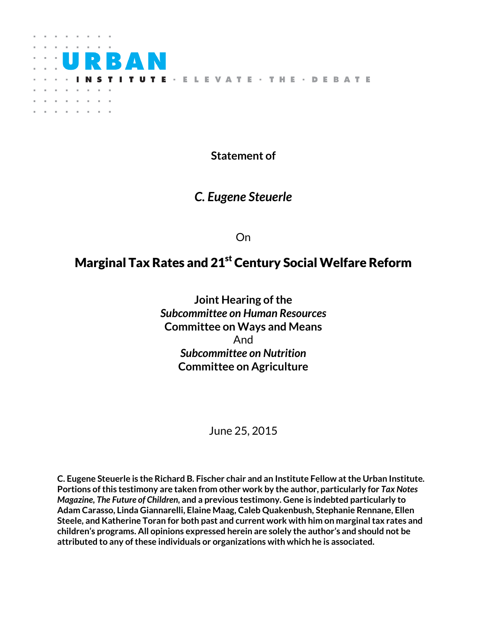

**Statement of**

## *C. Eugene Steuerle*

On

# Marginal Tax Rates and 21<sup>st</sup> Century Social Welfare Reform

**Joint Hearing of the** *Subcommittee on Human Resources*  **Committee on Ways and Means** And *Subcommittee on Nutrition* **Committee on Agriculture**

June 25, 2015

**C. Eugene Steuerle is the Richard B. Fischer chair and an Institute Fellow at the Urban Institute. Portions of this testimony are taken from other work by the author, particularly for** *Tax Notes Magazine, The Future of Children,* **and a previous testimony. Gene is indebted particularly to Adam Carasso, Linda Giannarelli, Elaine Maag, Caleb Quakenbush, Stephanie Rennane, Ellen Steele, and Katherine Toran for both past and current work with him on marginal tax rates and children's programs. All opinions expressed herein are solely the author's and should not be attributed to any of these individuals or organizations with which he is associated.**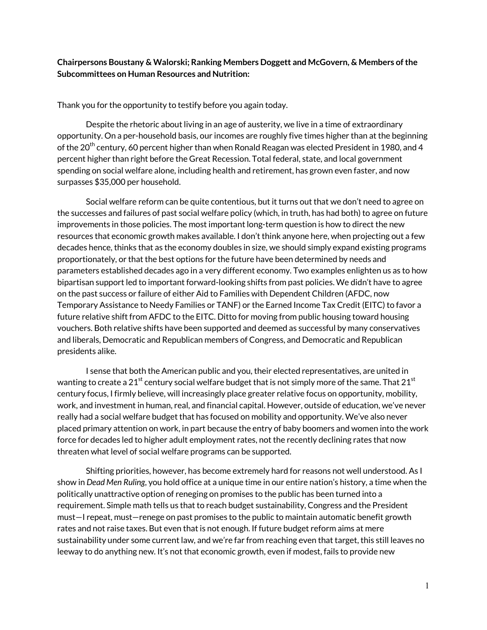## **Chairpersons Boustany & Walorski; Ranking Members Doggett and McGovern, & Members of the Subcommittees on Human Resources and Nutrition:**

Thank you for the opportunity to testify before you again today.

Despite the rhetoric about living in an age of austerity, we live in a time of extraordinary opportunity. On a per-household basis, our incomes are roughly five times higher than at the beginning of the 20<sup>th</sup> century, 60 percent higher than when Ronald Reagan was elected President in 1980, and 4 percent higher than right before the Great Recession. Total federal, state, and local government spending on social welfare alone, including health and retirement, has grown even faster, and now surpasses \$35,000 per household.

Social welfare reform can be quite contentious, but it turns out that we don't need to agree on the successes and failures of past social welfare policy (which, in truth, has had both) to agree on future improvements in those policies. The most important long-term question is how to direct the new resources that economic growth makes available. I don't think anyone here, when projecting out a few decades hence, thinks that as the economy doubles in size, we should simply expand existing programs proportionately, or that the best options for the future have been determined by needs and parameters established decades ago in a very different economy. Two examples enlighten us as to how bipartisan support led to important forward-looking shifts from past policies. We didn't have to agree on the past success or failure of either Aid to Families with Dependent Children (AFDC, now Temporary Assistance to Needy Families or TANF) or the Earned Income Tax Credit (EITC) to favor a future relative shift from AFDC to the EITC. Ditto for moving from public housing toward housing vouchers. Both relative shifts have been supported and deemed as successful by many conservatives and liberals, Democratic and Republican members of Congress, and Democratic and Republican presidents alike.

I sense that both the American public and you, their elected representatives, are united in wanting to create a 21<sup>st</sup> century social welfare budget that is not simply more of the same. That 21<sup>st</sup> century focus, I firmly believe, will increasingly place greater relative focus on opportunity, mobility, work, and investment in human, real, and financial capital. However, outside of education, we've never really had a social welfare budget that has focused on mobility and opportunity. We've also never placed primary attention on work, in part because the entry of baby boomers and women into the work force for decades led to higher adult employment rates, not the recently declining rates that now threaten what level of social welfare programs can be supported.

Shifting priorities, however, has become extremely hard for reasons not well understood. As I show in *Dead Men Ruling*, you hold office at a unique time in our entire nation's history, a time when the politically unattractive option of reneging on promises to the public has been turned into a requirement. Simple math tells us that to reach budget sustainability, Congress and the President must—I repeat, must—renege on past promises to the public to maintain automatic benefit growth rates and not raise taxes. But even that is not enough. If future budget reform aims at mere sustainability under some current law, and we're far from reaching even that target, this still leaves no leeway to do anything new. It's not that economic growth, even if modest, fails to provide new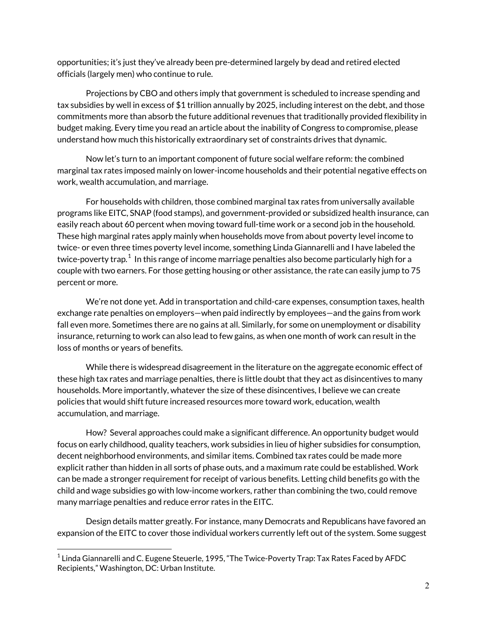opportunities; it's just they've already been pre-determined largely by dead and retired elected officials (largely men) who continue to rule.

Projections by CBO and others imply that government is scheduled to increase spending and tax subsidies by well in excess of \$1 trillion annually by 2025, including interest on the debt, and those commitments more than absorb the future additional revenues that traditionally provided flexibility in budget making. Every time you read an article about the inability of Congress to compromise, please understand how much this historically extraordinary set of constraints drives that dynamic.

Now let's turn to an important component of future social welfare reform: the combined marginal tax rates imposed mainly on lower-income households and their potential negative effects on work, wealth accumulation, and marriage.

For households with children, those combined marginal tax rates from universally available programs like EITC, SNAP (food stamps), and government-provided or subsidized health insurance, can easily reach about 60 percent when moving toward full-time work or a second job in the household. These high marginal rates apply mainly when households move from about poverty level income to twice- or even three times poverty level income, something Linda Giannarelli and I have labeled the twice-poverty trap. $^1$  $^1$  In this range of income marriage penalties also become particularly high for a couple with two earners. For those getting housing or other assistance, the rate can easily jump to 75 percent or more.

We're not done yet. Add in transportation and child-care expenses, consumption taxes, health exchange rate penalties on employers—when paid indirectly by employees—and the gains from work fall even more. Sometimes there are no gains at all. Similarly, for some on unemployment or disability insurance, returning to work can also lead to few gains, as when one month of work can result in the loss of months or years of benefits.

While there is widespread disagreement in the literature on the aggregate economic effect of these high tax rates and marriage penalties, there is little doubt that they act as disincentives to many households. More importantly, whatever the size of these disincentives, I believe we can create policies that would shift future increased resources more toward work, education, wealth accumulation, and marriage.

How? Several approaches could make a significant difference. An opportunity budget would focus on early childhood, quality teachers, work subsidies in lieu of higher subsidies for consumption, decent neighborhood environments, and similar items. Combined tax rates could be made more explicit rather than hidden in all sorts of phase outs, and a maximum rate could be established. Work can be made a stronger requirement for receipt of various benefits. Letting child benefits go with the child and wage subsidies go with low-income workers, rather than combining the two, could remove many marriage penalties and reduce error rates in the EITC.

Design details matter greatly. For instance, many Democrats and Republicans have favored an expansion of the EITC to cover those individual workers currently left out of the system. Some suggest

 $\overline{\phantom{a}}$ 

<span id="page-2-0"></span> $^1$  Linda Giannarelli and C. Eugene Steuerle, 1995, "The Twice-Poverty Trap: Tax Rates Faced by AFDC Recipients," Washington, DC: Urban Institute.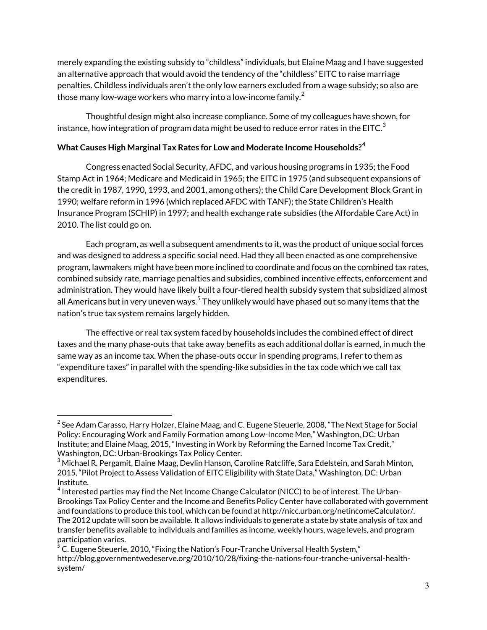merely expanding the existing subsidy to "childless" individuals, but Elaine Maag and I have suggested an alternative approach that would avoid the tendency of the "childless" EITC to raise marriage penalties. Childless individuals aren't the only low earners excluded from a wage subsidy; so also are those many low-wage workers who marry into a low-income family. $^{\rm 2}$  $^{\rm 2}$  $^{\rm 2}$ 

Thoughtful design might also increase compliance. Some of my colleagues have shown, for instance, how integration of program data might be used to reduce error rates in the EITC.<sup>[3](#page-3-1)</sup>

## **What Causes High Marginal Tax Rates for Low and Moderate Income Households? [4](#page-3-2)**

Congress enacted Social Security, AFDC, and various housing programs in 1935; the Food Stamp Act in 1964; Medicare and Medicaid in 1965; the EITC in 1975 (and subsequent expansions of the credit in 1987, 1990, 1993, and 2001, among others); the Child Care Development Block Grant in 1990; welfare reform in 1996 (which replaced AFDC with TANF); the State Children's Health Insurance Program (SCHIP) in 1997; and health exchange rate subsidies (the Affordable Care Act) in 2010. The list could go on.

Each program, as well a subsequent amendments to it, was the product of unique social forces and was designed to address a specific social need. Had they all been enacted as one comprehensive program, lawmakers might have been more inclined to coordinate and focus on the combined tax rates, combined subsidy rate, marriage penalties and subsidies, combined incentive effects, enforcement and administration. They would have likely built a four-tiered health subsidy system that subsidized almost all Americans but in very uneven ways.<sup>[5](#page-3-3)</sup> They unlikely would have phased out so many items that the nation's true tax system remains largely hidden.

The effective or real tax system faced by households includes the combined effect of direct taxes and the many phase-outs that take away benefits as each additional dollar is earned, in much the same way as an income tax. When the phase-outs occur in spending programs, I refer to them as "expenditure taxes"in parallel with the spending-like subsidies in the tax code which we call tax expenditures.

 $\overline{\phantom{a}}$ 

<span id="page-3-0"></span> $2$  See Adam Carasso, Harry Holzer, Elaine Maag, and C. Eugene Steuerle, 2008, "The Next Stage for Social Policy: Encouraging Work and Family Formation among Low-Income Men," Washington, DC: Urban Institute; and Elaine Maag, 2015, "Investing in Work by Reforming the Earned Income Tax Credit," Washington, DC: Urban-Brookings Tax Policy Center.

<span id="page-3-1"></span> $3$  Michael R. Pergamit, Elaine Maag, Devlin Hanson, Caroline Ratcliffe, Sara Edelstein, and Sarah Minton, 2015, "Pilot Project to Assess Validation of EITC Eligibility with State Data," Washington, DC: Urban Institute.

<span id="page-3-2"></span> $^4$  Interested parties may find the Net Income Change Calculator (NICC) to be of interest. The Urban-Brookings Tax Policy Center and the Income and Benefits Policy Center have collaborated with government and foundations to produce this tool, which can be found at http://nicc.urban.org/netincomeCalculator/. The 2012 update will soon be available. It allows individuals to generate a state by state analysis of tax and transfer benefits available to individuals and families as income, weekly hours, wage levels, and program participation varies.

<span id="page-3-3"></span> $^5$  C. Eugene Steuerle, 2010, "Fixing the Nation's Four-Tranche Universal Health System," http://blog.governmentwedeserve.org/2010/10/28/fixing-the-nations-four-tranche-universal-healthsystem/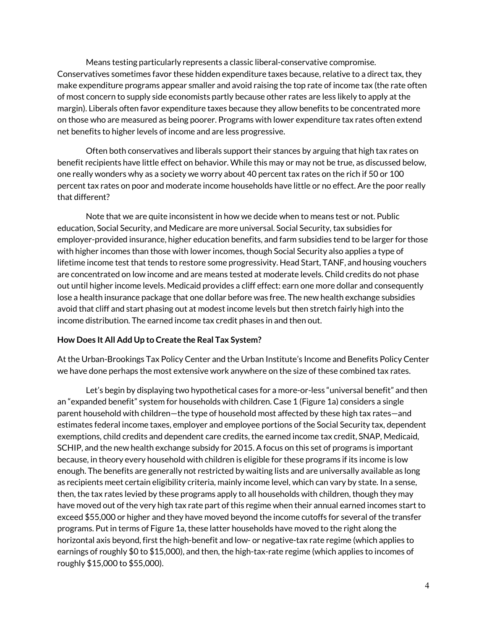Means testing particularly represents a classic liberal-conservative compromise. Conservatives sometimes favor these hidden expenditure taxes because, relative to a direct tax, they make expenditure programs appear smaller and avoid raising the top rate of income tax (the rate often of most concern to supply side economists partly because other rates are less likely to apply at the margin). Liberals often favor expenditure taxes because they allow benefits to be concentrated more on those who are measured as being poorer. Programs with lower expenditure tax rates often extend net benefits to higher levels of income and are less progressive.

Often both conservatives and liberals support their stances by arguing that high tax rates on benefit recipients have little effect on behavior. While this may or may not be true, as discussed below, one really wonders why as a society we worry about 40 percent tax rates on the rich if 50 or 100 percent tax rates on poor and moderate income households have little or no effect. Are the poor really that different?

Note that we are quite inconsistent in how we decide when to means test or not. Public education, Social Security, and Medicare are more universal. Social Security, tax subsidies for employer-provided insurance, higher education benefits, and farm subsidies tend to be larger for those with higher incomes than those with lower incomes, though Social Security also applies a type of lifetime income test that tends to restore some progressivity. Head Start, TANF, and housing vouchers are concentrated on low income and are means tested at moderate levels. Child credits do not phase out until higher income levels. Medicaid provides a cliff effect: earn one more dollar and consequently lose a health insurance package that one dollar before was free. The new health exchange subsidies avoid that cliff and start phasing out at modest income levels but then stretch fairly high into the income distribution. The earned income tax credit phases in and then out.

## **How Does It All Add Up to Create the Real Tax System?**

At the Urban-Brookings Tax Policy Center and the Urban Institute's Income and Benefits Policy Center we have done perhaps the most extensive work anywhere on the size of these combined tax rates.

Let's begin by displaying two hypothetical cases for a more-or-less "universal benefit" and then an "expanded benefit" system for households with children. Case 1 (Figure 1a) considers a single parent household with children—the type of household most affected by these high tax rates—and estimates federal income taxes, employer and employee portions of the Social Security tax, dependent exemptions, child credits and dependent care credits, the earned income tax credit, SNAP, Medicaid, SCHIP, and the new health exchange subsidy for 2015. A focus on this set of programs is important because, in theory every household with children is eligible for these programs if its income is low enough. The benefits are generally not restricted by waiting lists and are universally available as long as recipients meet certain eligibility criteria, mainly income level, which can vary by state. In a sense, then, the tax rates levied by these programs apply to all households with children, though they may have moved out of the very high tax rate part of this regime when their annual earned incomes start to exceed \$55,000 or higher and they have moved beyond the income cutoffs for several of the transfer programs. Put in terms of Figure 1a, these latter households have moved to the right along the horizontal axis beyond, first the high-benefit and low- or negative-tax rate regime (which applies to earnings of roughly \$0 to \$15,000), and then, the high-tax-rate regime (which applies to incomes of roughly \$15,000 to \$55,000).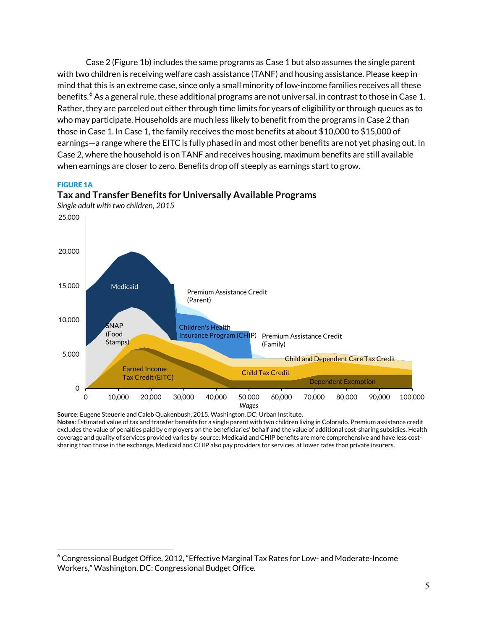Case 2 (Figure 1b) includes the same programs as Case 1 but also assumes the single parent with two children is receiving welfare cash assistance (TANF) and housing assistance. Please keep in mind that this is an extreme case, since only a small minority of low-income families receives all these benefits.<sup>[6](#page-5-0)</sup> As a general rule, these additional programs are not universal, in contrast to those in Case 1. Rather, they are parceled out either through time limits for years of eligibility or through queues as to who may participate. Households are much less likely to benefit from the programs in Case 2 than those in Case 1. In Case 1, the family receives the most benefits at about \$10,000 to \$15,000 of earnings—a range where the EITC is fully phased in and most other benefits are not yet phasing out. In Case 2, where the household is on TANF and receives housing, maximum benefits are still available when earnings are closer to zero. Benefits drop off steeply as earnings start to grow.

#### FIGURE 1A

 $\overline{\phantom{a}}$ 



**Tax and Transfer Benefits for Universally Available Programs**

**Source**: Eugene Steuerle and Caleb Quakenbush, 2015. Washington, DC: Urban Institute. **Notes**: Estimated value of tax and transfer benefits for a single parent with two children living in Colorado. Premium assistance credit excludes the value of penalties paid by employers on the beneficiaries' behalf and the value of additional cost-sharing subsidies. Health coverage and quality of services provided varies by source: Medicaid and CHIP benefits are more comprehensive and have less costsharing than those in the exchange. Medicaid and CHIP also pay providers for services at lower rates than private insurers.

<span id="page-5-0"></span> $6$  Congressional Budget Office, 2012, "Effective Marginal Tax Rates for Low- and Moderate-Income Workers," Washington, DC: Congressional Budget Office.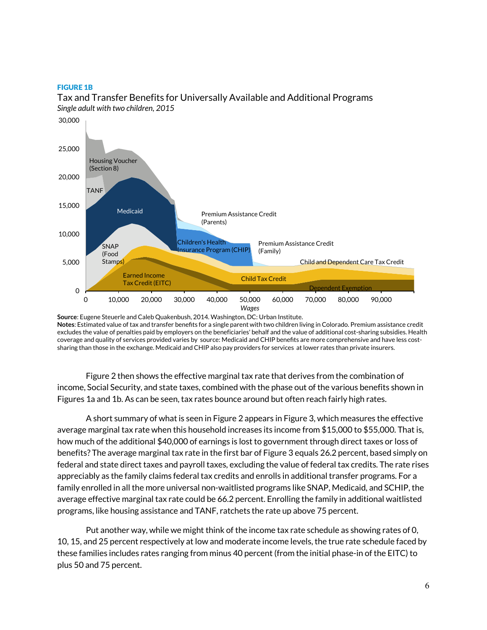#### FIGURE 1B



Tax and Transfer Benefits for Universally Available and Additional Programs *Single adult with two children, 2015*

**Source**: Eugene Steuerle and Caleb Quakenbush, 2014. Washington, DC: Urban Institute. **Notes**: Estimated value of tax and transfer benefits for a single parent with two children living in Colorado. Premium assistance credit excludes the value of penalties paid by employers on the beneficiaries' behalf and the value of additional cost-sharing subsidies. Health coverage and quality of services provided varies by source: Medicaid and CHIP benefits are more comprehensive and have less costsharing than those in the exchange. Medicaid and CHIP also pay providers for services at lower rates than private insurers.

Figure 2 then shows the effective marginal tax rate that derives from the combination of income, Social Security, and state taxes, combined with the phase out of the various benefits shown in Figures 1a and 1b. As can be seen, tax rates bounce around but often reach fairly high rates.

A short summary of what is seen in Figure 2 appears in Figure 3, which measures the effective average marginal tax rate when this household increases its income from \$15,000 to \$55,000. That is, how much of the additional \$40,000 of earnings is lost to government through direct taxes or loss of benefits? The average marginal tax rate in the first bar of Figure 3 equals 26.2 percent, based simply on federal and state direct taxes and payroll taxes, excluding the value of federal tax credits. The rate rises appreciably as the family claims federal tax credits and enrolls in additional transfer programs. For a family enrolled in all the more universal non-waitlisted programs like SNAP, Medicaid, and SCHIP, the average effective marginal tax rate could be 66.2 percent. Enrolling the family in additional waitlisted programs, like housing assistance and TANF, ratchets the rate up above 75 percent.

Put another way, while we might think of the income tax rate schedule as showing rates of 0, 10, 15, and 25 percent respectively at low and moderate income levels, the true rate schedule faced by these families includes rates ranging from minus 40 percent (from the initial phase-in of the EITC) to plus 50 and 75 percent.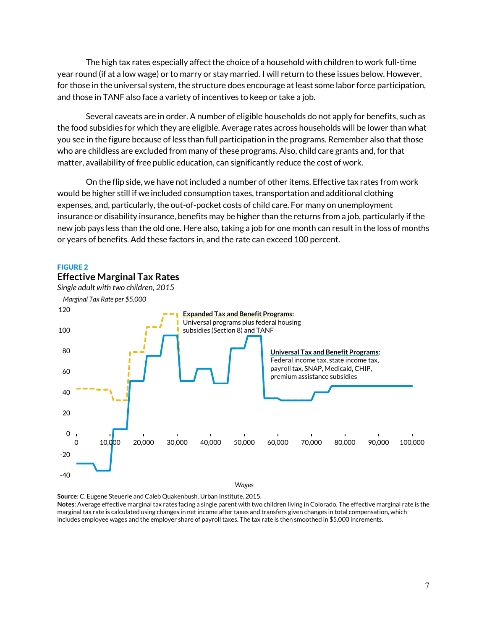The high tax rates especially affect the choice of a household with children to work full-time year round (if at a low wage) or to marry or stay married. I will return to these issues below. However, for those in the universal system, the structure does encourage at least some labor force participation, and those in TANF also face a variety of incentives to keep or take a job.

Several caveats are in order. A number of eligible households do not apply for benefits, such as the food subsidies for which they are eligible. Average rates across households will be lower than what you see in the figure because of less than full participation in the programs. Remember also that those who are childless are excluded from many of these programs. Also, child care grants and, for that matter, availability of free public education, can significantly reduce the cost of work.

On the flip side, we have not included a number of other items. Effective tax rates from work would be higher still if we included consumption taxes, transportation and additional clothing expenses, and, particularly, the out-of-pocket costs of child care. For many on unemployment insurance or disability insurance, benefits may be higher than the returns from a job, particularly if the new job pays less than the old one. Here also, taking a job for one month can result in the loss of months or years of benefits. Add these factors in, and the rate can exceed 100 percent.

#### FIGURE 2

**Effective Marginal Tax Rates**



*Wages*

**Source**: C. Eugene Steuerle and Caleb Quakenbush. Urban Institute. 2015.

**Notes**: Average effective marginal tax rates facing a single parent with two children living in Colorado. The effective marginal rate is the marginal tax rate is calculated using changes in net income after taxes and transfers given changes in total compensation, which includes employee wages and the employer share of payroll taxes. The tax rate is then smoothed in \$5,000 increments.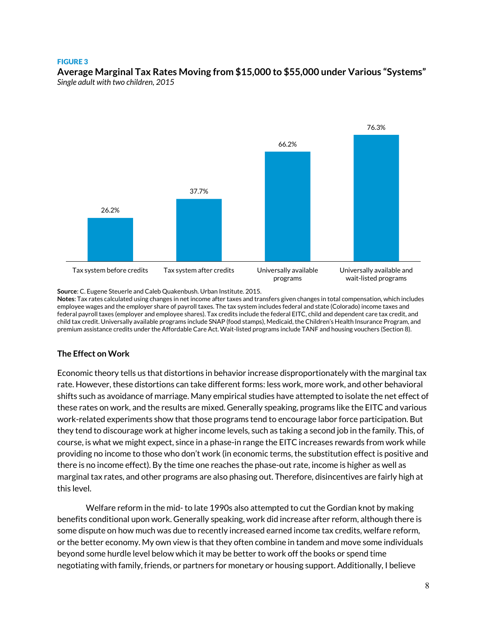#### FIGURE 3 **Average Marginal Tax Rates Moving from \$15,000 to \$55,000 under Various "Systems"** *Single adult with two children, 2015*



**Source**: C. Eugene Steuerle and Caleb Quakenbush. Urban Institute. 2015.

**Notes**: Tax rates calculated using changes in net income after taxes and transfers given changes in total compensation, which includes employee wages and the employer share of payroll taxes. The tax system includes federal and state (Colorado) income taxes and federal payroll taxes (employer and employee shares). Tax credits include the federal EITC, child and dependent care tax credit, and child tax credit. Universally available programs include SNAP (food stamps), Medicaid, the Children's Health Insurance Program, and premium assistance credits under the Affordable Care Act. Wait-listed programs include TANF and housing vouchers (Section 8).

## **The Effect on Work**

Economic theory tells us that distortions in behavior increase disproportionately with the marginal tax rate. However, these distortions can take different forms: less work, more work, and other behavioral shifts such as avoidance of marriage. Many empirical studies have attempted to isolate the net effect of these rates on work, and the results are mixed. Generally speaking, programs like the EITC and various work-related experiments show that those programs tend to encourage labor force participation. But they tend to discourage work at higher income levels, such as taking a second job in the family. This, of course, is what we might expect, since in a phase-in range the EITC increases rewards from work while providing no income to those who don't work (in economic terms, the substitution effect is positive and there is no income effect). By the time one reaches the phase-out rate, income is higher as well as marginal tax rates, and other programs are also phasing out. Therefore, disincentives are fairly high at this level.

Welfare reform in the mid- to late 1990s also attempted to cut the Gordian knot by making benefits conditional upon work. Generally speaking, work did increase after reform, although there is some dispute on how much was due to recently increased earned income tax credits, welfare reform, or the better economy. My own view is that they often combine in tandem and move some individuals beyond some hurdle level below which it may be better to work off the books or spend time negotiating with family, friends, or partners for monetary or housing support. Additionally, I believe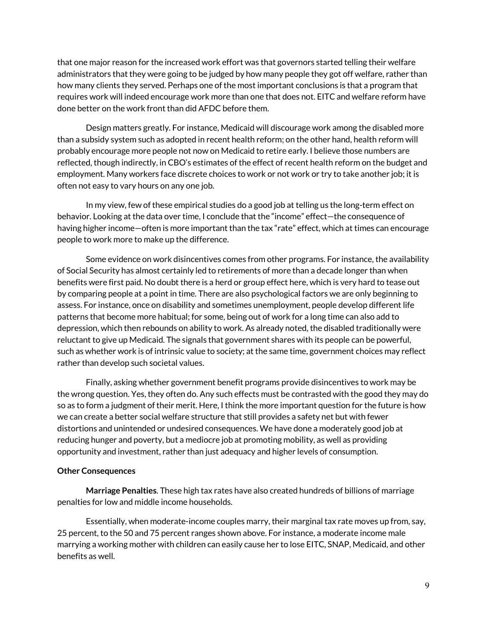that one major reason for the increased work effort was that governors started telling their welfare administrators that they were going to be judged by how many people they got off welfare, rather than how many clients they served. Perhaps one of the most important conclusions is that a program that requires work will indeed encourage work more than one that does not. EITC and welfare reform have done better on the work front than did AFDC before them.

Design matters greatly. For instance, Medicaid will discourage work among the disabled more than a subsidy system such as adopted in recent health reform; on the other hand, health reform will probably encourage more people not now on Medicaid to retire early. I believe those numbers are reflected, though indirectly, in CBO's estimates of the effect of recent health reform on the budget and employment. Many workers face discrete choices to work or not work or try to take another job; it is often not easy to vary hours on any one job.

In my view, few of these empirical studies do a good job at telling us the long-term effect on behavior. Looking at the data over time, I conclude that the "income" effect—the consequence of having higher income—often is more important than the tax "rate" effect, which at times can encourage people to work more to make up the difference.

Some evidence on work disincentives comes from other programs. For instance, the availability of Social Security has almost certainly led to retirements of more than a decade longer than when benefits were first paid. No doubt there is a herd or group effect here, which is very hard to tease out by comparing people at a point in time. There are also psychological factors we are only beginning to assess. For instance, once on disability and sometimes unemployment, people develop different life patterns that become more habitual; for some, being out of work for a long time can also add to depression, which then rebounds on ability to work. As already noted, the disabled traditionally were reluctant to give up Medicaid. The signals that government shares with its people can be powerful, such as whether work is of intrinsic value to society; at the same time, government choices may reflect rather than develop such societal values.

Finally, asking whether government benefit programs provide disincentives to work may be the wrong question. Yes, they often do. Any such effects must be contrasted with the good they may do so as to form a judgment of their merit. Here, I think the more important question for the future is how we can create a better social welfare structure that still provides a safety net but with fewer distortions and unintended or undesired consequences. We have done a moderately good job at reducing hunger and poverty, but a mediocre job at promoting mobility, as well as providing opportunity and investment, rather than just adequacy and higher levels of consumption.

## **Other Consequences**

**Marriage Penalties**. These high tax rates have also created hundreds of billions of marriage penalties for low and middle income households.

Essentially, when moderate-income couples marry, their marginal tax rate moves up from, say, 25 percent, to the 50 and 75 percent ranges shown above. For instance, a moderate income male marrying a working mother with children can easily cause her to lose EITC, SNAP, Medicaid, and other benefits as well.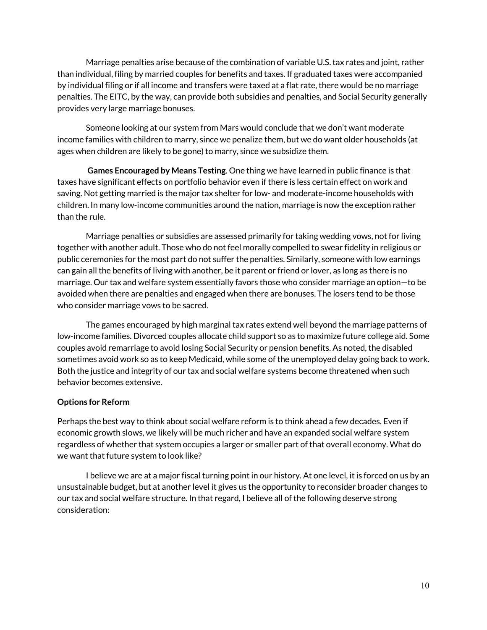Marriage penalties arise because of the combination of variable U.S. tax rates and joint, rather than individual, filing by married couples for benefits and taxes. If graduated taxes were accompanied by individual filing or if all income and transfers were taxed at a flat rate, there would be no marriage penalties. The EITC, by the way, can provide both subsidies and penalties, and Social Security generally provides very large marriage bonuses.

Someone looking at our system from Mars would conclude that we don't want moderate income families with children to marry, since we penalize them, but we do want older households (at ages when children are likely to be gone) to marry, since we subsidize them.

**Games Encouraged by Means Testing**. One thing we have learned in public finance is that taxes have significant effects on portfolio behavior even if there is less certain effect on work and saving. Not getting married is the major tax shelter for low- and moderate-income households with children. In many low-income communities around the nation, marriage is now the exception rather than the rule.

Marriage penalties or subsidies are assessed primarily for taking wedding vows, not for living together with another adult. Those who do not feel morally compelled to swear fidelity in religious or public ceremonies for the most part do not suffer the penalties. Similarly, someone with low earnings can gain all the benefits of living with another, be it parent or friend or lover, as long as there is no marriage. Our tax and welfare system essentially favors those who consider marriage an option—to be avoided when there are penalties and engaged when there are bonuses. The losers tend to be those who consider marriage vows to be sacred.

The games encouraged by high marginal tax rates extend well beyond the marriage patterns of low-income families. Divorced couples allocate child support so as to maximize future college aid. Some couples avoid remarriage to avoid losing Social Security or pension benefits. As noted, the disabled sometimes avoid work so as to keep Medicaid, while some of the unemployed delay going back to work. Both the justice and integrity of our tax and social welfare systems become threatened when such behavior becomes extensive.

## **Options for Reform**

Perhaps the best way to think about social welfare reform is to think ahead a few decades. Even if economic growth slows, we likely will be much richer and have an expanded social welfare system regardless of whether that system occupies a larger or smaller part of that overall economy. What do we want that future system to look like?

I believe we are at a major fiscal turning point in our history. At one level, it is forced on us by an unsustainable budget, but at another level it gives us the opportunity to reconsider broader changes to our tax and social welfare structure. In that regard, I believe all of the following deserve strong consideration: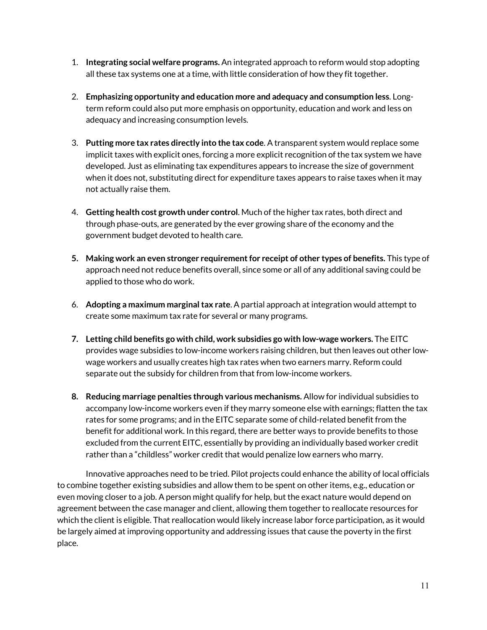- 1. **Integrating social welfare programs.** An integrated approach to reform would stop adopting all these tax systems one at a time, with little consideration of how they fit together.
- 2. **Emphasizing opportunity and education more and adequacy and consumption less**. Longterm reform could also put more emphasis on opportunity, education and work and less on adequacy and increasing consumption levels.
- 3. **Putting more tax rates directly into the tax code**. A transparent system would replace some implicit taxes with explicit ones, forcing a more explicit recognition of the tax system we have developed. Just as eliminating tax expenditures appears to increase the size of government when it does not, substituting direct for expenditure taxes appears to raise taxes when it may not actually raise them.
- 4. **Getting health cost growth under control**. Much of the higher tax rates, both direct and through phase-outs, are generated by the ever growing share of the economy and the government budget devoted to health care.
- **5. Making work an even stronger requirement for receipt of other types of benefits.** This type of approach need not reduce benefits overall, since some or all of any additional saving could be applied to those who do work.
- 6. **Adopting a maximum marginal tax rate**. A partial approach at integration would attempt to create some maximum tax rate for several or many programs.
- **7. Letting child benefits go with child, work subsidies go with low-wage workers.** The EITC provides wage subsidies to low-income workers raising children, but then leaves out other lowwage workers and usually creates high tax rates when two earners marry. Reform could separate out the subsidy for children from that from low-income workers.
- **8. Reducing marriage penalties through various mechanisms.** Allow for individual subsidies to accompany low-income workers even if they marry someone else with earnings; flatten the tax rates for some programs; and in the EITC separate some of child-related benefit from the benefit for additional work. In this regard, there are better ways to provide benefits to those excluded from the current EITC, essentially by providing an individually based worker credit rather than a "childless" worker credit that would penalize low earners who marry.

Innovative approaches need to be tried. Pilot projects could enhance the ability of local officials to combine together existing subsidies and allow them to be spent on other items, e.g., education or even moving closer to a job. A person might qualify for help, but the exact nature would depend on agreement between the case manager and client, allowing them together to reallocate resources for which the client is eligible. That reallocation would likely increase labor force participation, as it would be largely aimed at improving opportunity and addressing issues that cause the poverty in the first place.